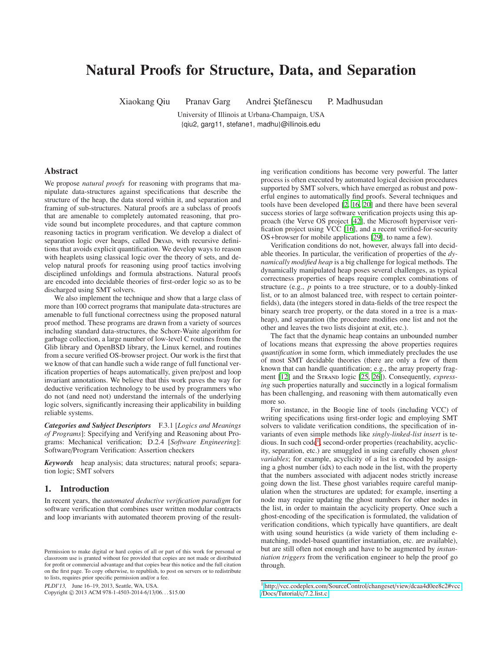# Natural Proofs for Structure, Data, and Separation

Xiaokang Qiu Pranav Garg Andrei Ştefănescu P. Madhusudan

University of Illinois at Urbana-Champaign, USA {qiu2, garg11, stefane1, madhu}@illinois.edu

# Abstract

We propose *natural proofs* for reasoning with programs that manipulate data-structures against specifications that describe the structure of the heap, the data stored within it, and separation and framing of sub-structures. Natural proofs are a subclass of proofs that are amenable to completely automated reasoning, that provide sound but incomplete procedures, and that capture common reasoning tactics in program verification. We develop a dialect of separation logic over heaps, called DryAD, with recursive definitions that avoids explicit quantification. We develop ways to reason with heaplets using classical logic over the theory of sets, and develop natural proofs for reasoning using proof tactics involving disciplined unfoldings and formula abstractions. Natural proofs are encoded into decidable theories of first-order logic so as to be discharged using SMT solvers.

We also implement the technique and show that a large class of more than 100 correct programs that manipulate data-structures are amenable to full functional correctness using the proposed natural proof method. These programs are drawn from a variety of sources including standard data-structures, the Schorr-Waite algorithm for garbage collection, a large number of low-level C routines from the Glib library and OpenBSD library, the Linux kernel, and routines from a secure verified OS-browser project. Our work is the first that we know of that can handle such a wide range of full functional verification properties of heaps automatically, given pre/post and loop invariant annotations. We believe that this work paves the way for deductive verification technology to be used by programmers who do not (and need not) understand the internals of the underlying logic solvers, significantly increasing their applicability in building reliable systems.

*Categories and Subject Descriptors* F.3.1 [*Logics and Meanings of Programs*]: Specifying and Verifying and Reasoning about Programs: Mechanical verification; D.2.4 [*Software Engineering*]: Software/Program Verification: Assertion checkers

*Keywords* heap analysis; data structures; natural proofs; separation logic; SMT solvers

# 1. Introduction

In recent years, the *automated deductive verification paradigm* for software verification that combines user written modular contracts and loop invariants with automated theorem proving of the result-

PLDI'13, June 16–19, 2013, Seattle, WA, USA.

Copyright © 2013 ACM 978-1-4503-2014-6/13/06... \$15.00

ing verification conditions has become very powerful. The latter process is often executed by automated logical decision procedures supported by SMT solvers, which have emerged as robust and powerful engines to automatically find proofs. Several techniques and tools have been developed [\[2,](#page-11-0) [16](#page-11-1), [20](#page-11-2)] and there have been several success stories of large software verification projects using this approach (the Verve OS project [\[42](#page-11-3)], the Microsoft hypervisor verification project using VCC [\[16](#page-11-1)], and a recent verified-for-security OS+browser for mobile applications [\[29](#page-11-4)], to name a few).

Verification conditions do not, however, always fall into decidable theories. In particular, the verification of properties of the *dynamically modified heap* is a big challenge for logical methods. The dynamically manipulated heap poses several challenges, as typical correctness properties of heaps require complex combinations of structure (e.g., *p* points to a tree structure, or to a doubly-linked list, or to an almost balanced tree, with respect to certain pointerfields), data (the integers stored in data-fields of the tree respect the binary search tree property, or the data stored in a tree is a maxheap), and separation (the procedure modifies one list and not the other and leaves the two lists disjoint at exit, etc.).

The fact that the dynamic heap contains an unbounded number of locations means that expressing the above properties requires *quantification* in some form, which immediately precludes the use of most SMT decidable theories (there are only a few of them known that can handle quantification; e.g., the array property frag-ment [\[12\]](#page-11-5) and the STRAND logic [\[25](#page-11-6), [26\]](#page-11-7)). Consequently, *expressing* such properties naturally and succinctly in a logical formalism has been challenging, and reasoning with them automatically even more so.

For instance, in the Boogie line of tools (including VCC) of writing specifications using first-order logic and employing SMT solvers to validate verification conditions, the specification of invariants of even simple methods like *singly-linked-list insert* is te-dious. In such code<sup>[1](#page-0-0)</sup>, second-order properties (reachability, acyclicity, separation, etc.) are smuggled in using carefully chosen *ghost variables*; for example, acyclicity of a list is encoded by assigning a ghost number (idx) to each node in the list, with the property that the numbers associated with adjacent nodes strictly increase going down the list. These ghost variables require careful manipulation when the structures are updated; for example, inserting a node may require updating the ghost numbers for other nodes in the list, in order to maintain the acyclicity property. Once such a ghost-encoding of the specification is formulated, the validation of verification conditions, which typically have quantifiers, are dealt with using sound heuristics (a wide variety of them including ematching, model-based quantifier instantiation, etc. are available), but are still often not enough and have to be augmented by *instantiation triggers* from the verification engineer to help the proof go through.

Permission to make digital or hard copies of all or part of this work for personal or classroom use is granted without fee provided that copies are not made or distributed for profit or commercial advantage and that copies bear this notice and the full citation on the first page. To copy otherwise, to republish, to post on servers or to redistribute to lists, requires prior specific permission and/or a fee.

<span id="page-0-0"></span><sup>1</sup> http://vcc.codeplex.com/SourceControl/changeset/view/[dcaa4d0ee8c2#vcc](http://vcc.codeplex.com/SourceControl/changeset/view/dcaa4d0ee8c2#vcc/Docs/Tutorial/c/7.2.list.c) /Docs/Tutorial/c/[7.2.list.c](http://vcc.codeplex.com/SourceControl/changeset/view/dcaa4d0ee8c2#vcc/Docs/Tutorial/c/7.2.list.c)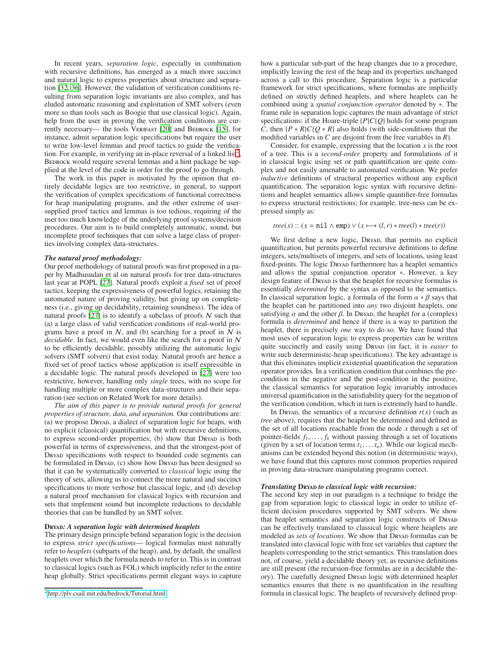In recent years, *separation logic*, especially in combination with recursive definitions, has emerged as a much more succinct and natural logic to express properties about structure and separation [\[32](#page-11-8), [36\]](#page-11-9). However, the validation of verification conditions resulting from separation logic invariants are also complex, and has eluded automatic reasoning and exploitation of SMT solvers (even more so than tools such as Boogie that use classical logic). Again, help from the user in proving the verification conditions are cur-rently necessary— the tools VERIFAST [\[20\]](#page-11-2) and BEDROCK [\[15](#page-11-10)], for instance, admit separation logic specifications but require the user to write low-level lemmas and proof tactics to guide the verifica-tion. For example, in verifying an in-place reversal of a linked list<sup>[2](#page-1-0)</sup>, BEDROCK would require several lemmas and a hint package be supplied at the level of the code in order for the proof to go through.

The work in this paper is motivated by the opinion that entirely decidable logics are too restrictive, in general, to support the verification of complex specifications of functional correctness for heap manipulating programs, and the other extreme of usersupplied proof tactics and lemmas is too tedious, requiring of the user too much knowledge of the underlying proof systems/decision procedures. Our aim is to build completely automatic, sound, but incomplete proof techniques that can solve a large class of properties involving complex data-structures.

#### *The natural proof methodology:*

Our proof methodology of natural proofs was first proposed in a paper by Madhusudan et al on natural proofs for tree data-structures last year at POPL [\[27](#page-11-11)]. Natural proofs exploit a *fixed* set of proof tactics, keeping the expressiveness of powerful logics, retaining the automated nature of proving validity, but giving up on completeness (i.e., giving up decidability, retaining soundness). The idea of natural proofs [\[27](#page-11-11)] is to identify a subclass of proofs  $N$  such that (a) a large class of valid verification conditions of real-world programs have a proof in  $N$ , and (b) searching for a proof in  $N$  is *decidable*. In fact, we would even like the search for a proof in N to be efficiently decidable, possibly utilizing the automatic logic solvers (SMT solvers) that exist today. Natural proofs are hence a fixed set of proof tactics whose application is itself expressible in a decidable logic. The natural proofs developed in [\[27\]](#page-11-11) were too restrictive, however, handling only *single* trees, with no scope for handling multiple or more complex data-structures and their separation (see section on Related Work for more details).

*The aim of this paper is to provide natural proofs for general properties of structure, data, and separation.* Our contributions are: (a) we propose Dryad, a dialect of separation logic for heaps, with no explicit (classical) quantification but with recursive definitions, to express second-order properties; (b) show that DRYAD is both powerful in terms of expressiveness, and that the strongest-post of DRYAD specifications with respect to bounded code segments can be formulated in DRYAD, (c) show how DRYAD has been designed so that it can be systematically converted to *classical* logic using the theory of sets, allowing us to connect the more natural and succinct specifications to more verbose but classical logic, and (d) develop a natural proof mechanism for classical logics with recursion and sets that implement sound but incomplete reductions to decidable theories that can be handled by an SMT solver.

#### Dryad*: A separation logic with determined heaplets*

The primary design principle behind separation logic is the decision to express *strict specifications*— logical formulas must naturally refer to *heaplets* (subparts of the heap), and, by default, the smallest heaplets over which the formula needs to refer to. This is in contrast to classical logics (such as FOL) which implicitly refer to the entire heap globally. Strict specifications permit elegant ways to capture how a particular sub-part of the heap changes due to a procedure, implicitly leaving the rest of the heap and its properties unchanged across a call to this procedure. Separation logic is a particular framework for strict specifications, where formulas are implicitly defined on strictly defined heaplets, and where heaplets can be combined using a *spatial conjunction operator* denoted by ∗. The frame rule in separation logic captures the main advantage of strict specifications: if the Hoare-triple {*P*}*C*{*Q*} holds for some program *C*, then {*P* ∗ *R*}*C*{*Q* ∗ *R*} also holds (with side-conditions that the modified variables in *C* are disjoint from the free variables in *R*).

Consider, for example, expressing that the location *x* is the root of a tree. This is a *second-order* property and formulations of it in classical logic using set or path quantification are quite complex and not easily amenable to automated verification. We prefer *inductive* definitions of structural properties without any explicit quantification. The separation logic syntax with recursive definitions and heaplet semantics allows simple quantifier-free formulas to express structural restrictions; for example. tree-ness can be expressed simply as:

 $tree(x) :: (x = nil \land emp) \lor (x \mapsto (l, r) * tree(l) * tree(r))$ 

We first define a new logic, DRYAD, that permits no explicit quantification, but permits powerful recursive definitions to define integers, sets/multisets of integers, and sets of locations, using least fixed-points. The logic Dreyap furthermore has a heaplet semantics and allows the spatial conjunction operator ∗. However, a key design feature of DRYAD is that the heaplet for recursive formulas is essentially *determined* by the syntax as opposed to the semantics. In classical separation logic, a formula of the form  $\alpha * \beta$  says that the heaplet can be partitioned into *any* two disjoint heaplets, one satisfying  $\alpha$  and the other  $\beta$ . In Dryap, the heaplet for a (complex) formula is *determined* and hence if there is a way to partition the heaplet, there is precisely *one* way to do so. We have found that most uses of separation logic to express properties can be written quite succinctly and easily using DRYAD (in fact, it is *easier* to write such deterministic-heap specifications). The key advantage is that this eliminates implicit existential quantification the separation operator provides. In a verification condition that combines the precondition in the negative and the post-condition in the positive, the classical semantics for separation logic invariably introduces universal quantification in the satisfiability query for the negation of the verification condition, which in turn is extremely hard to handle.

In Dryan, the semantics of a recursive definition  $r(x)$  (such as *tree* above), requires that the heaplet be determined and defined as the set of all locations reachable from the node *x* through a set of pointer-fields  $f_1, \ldots, f_k$  without passing through a set of locations (given by a set of location terms  $t_1, \ldots, t_n$ ). While our logical mechanisms can be extended beyond this notion (in deterministic ways), we have found that this captures most common properties required in proving data-structure manipulating programs correct.

#### *Translating* DRYAD to classical logic with recursion:

The second key step in our paradigm is a technique to bridge the gap from separation logic to classical logic in order to utilize efficient decision procedures supported by SMT solvers. We show that heaplet semantics and separation logic constructs of DRYAD can be effectively translated to classical logic where heaplets are modeled as *sets of locations*. We show that Dreyap formulas can be translated into classical logic with free set variables that capture the heaplets corresponding to the strict semantics. This translation does not, of course, yield a decidable theory yet, as recursive definitions are still present (the recursion-free formulas are in a decidable theory). The carefully designed Dryap logic with determined heaplet semantics ensures that there is no quantification in the resulting formula in classical logic. The heaplets of recursively defined prop-

<span id="page-1-0"></span><sup>2</sup> http://[plv.csail.mit.edu](http://plv.csail.mit.edu/bedrock/Tutorial.html)/bedrock/Tutorial.html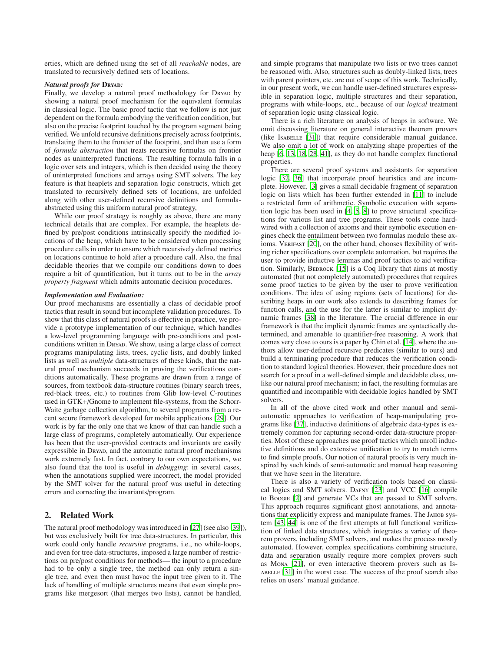erties, which are defined using the set of all *reachable* nodes, are translated to recursively defined sets of locations.

#### *Natural proofs for* Dryad*:*

Finally, we develop a natural proof methodology for DRYAD by showing a natural proof mechanism for the equivalent formulas in classical logic. The basic proof tactic that we follow is not just dependent on the formula embodying the verification condition, but also on the precise footprint touched by the program segment being verified. We unfold recursive definitions precisely across footprints, translating them to the frontier of the footprint, and then use a form of *formula abstraction* that treats recursive formulas on frontier nodes as uninterpreted functions. The resulting formula falls in a logic over sets and integers, which is then decided using the theory of uninterpreted functions and arrays using SMT solvers. The key feature is that heaplets and separation logic constructs, which get translated to recursively defined sets of locations, are unfolded along with other user-defined recursive definitions and formulaabstracted using this uniform natural proof strategy,

While our proof strategy is roughly as above, there are many technical details that are complex. For example, the heaplets defined by pre/post conditions intrinsically specify the modified locations of the heap, which have to be considered when processing procedure calls in order to ensure which recursively defined metrics on locations continue to hold after a procedure call. Also, the final decidable theories that we compile our conditions down to does require a bit of quantification, but it turns out to be in the *array property fragment* which admits automatic decision procedures.

#### *Implementation and Evaluation:*

Our proof mechanisms are essentially a class of decidable proof tactics that result in sound but incomplete validation procedures. To show that this class of natural proofs is effective in practice, we provide a prototype implementation of our technique, which handles a low-level programming language with pre-conditions and postconditions written in Dryan. We show, using a large class of correct programs manipulating lists, trees, cyclic lists, and doubly linked lists as well as *multiple* data-structures of these kinds, that the natural proof mechanism succeeds in proving the verifications conditions automatically. These programs are drawn from a range of sources, from textbook data-structure routines (binary search trees, red-black trees, etc.) to routines from Glib low-level C-routines used in GTK+/Gnome to implement file-systems, from the Schorr-Waite garbage collection algorithm, to several programs from a recent secure framework developed for mobile applications [\[29\]](#page-11-4). Our work is by far the only one that we know of that can handle such a large class of programs, completely automatically. Our experience has been that the user-provided contracts and invariants are easily expressible in Dryan, and the automatic natural proof mechanisms work extremely fast. In fact, contrary to our own expectations, we also found that the tool is useful in *debugging*: in several cases, when the annotations supplied were incorrect, the model provided by the SMT solver for the natural proof was useful in detecting errors and correcting the invariants/program.

# 2. Related Work

The natural proof methodology was introduced in [\[27\]](#page-11-11) (see also [\[39](#page-11-12)]), but was exclusively built for tree data-structures. In particular, this work could only handle *recursive* programs, i.e., no while-loops, and even for tree data-structures, imposed a large number of restrictions on pre/post conditions for methods— the input to a procedure had to be only a single tree, the method can only return a single tree, and even then must havoc the input tree given to it. The lack of handling of multiple structures means that even simple programs like mergesort (that merges two lists), cannot be handled,

and simple programs that manipulate two lists or two trees cannot be reasoned with. Also, structures such as doubly-linked lists, trees with parent pointers, etc. are out of scope of this work. Technically, in our present work, we can handle user-defined structures expressible in separation logic, multiple structures and their separation, programs with while-loops, etc., because of our *logical* treatment of separation logic using classical logic.

There is a rich literature on analysis of heaps in software. We omit discussing literature on general interactive theorem provers (like Isabelle [\[31\]](#page-11-13)) that require considerable manual guidance. We also omit a lot of work on analyzing shape properties of the heap [\[6,](#page-11-14) [13,](#page-11-15) [18](#page-11-16), [28](#page-11-17), [41\]](#page-11-18), as they do not handle complex functional properties.

There are several proof systems and assistants for separation logic [\[32](#page-11-8), [36](#page-11-9)] that incorporate proof heuristics and are incomplete. However, [\[3](#page-11-19)] gives a small decidable fragment of separation logic on lists which has been further extended in [\[11](#page-11-20)] to include a restricted form of arithmetic. Symbolic execution with separation logic has been used in [\[4](#page-11-21), [5](#page-11-22), [8\]](#page-11-23) to prove structural specifications for various list and tree programs. These tools come hardwired with a collection of axioms and their symbolic execution engines check the entailment between two formulas modulo these ax-ioms. VERIFAST [\[20](#page-11-2)], on the other hand, chooses flexibility of writing richer specifications over complete automation, but requires the user to provide inductive lemmas and proof tactics to aid verification. Similarly,  $Beprock$  [\[15](#page-11-10)] is a Coq library that aims at mostly automated (but not completely automated) procedures that requires some proof tactics to be given by the user to prove verification conditions. The idea of using regions (sets of locations) for describing heaps in our work also extends to describing frames for function calls, and the use for the latter is similar to implicit dynamic frames [\[38\]](#page-11-24) in the literature. The crucial difference in our framework is that the implicit dynamic frames are syntactically determined, and amenable to quantifier-free reasoning. A work that comes very close to ours is a paper by Chin et al. [\[14](#page-11-25)], where the authors allow user-defined recursive predicates (similar to ours) and build a terminating procedure that reduces the verification condition to standard logical theories. However, their procedure does not search for a proof in a well-defined simple and decidable class, unlike our natural proof mechanism; in fact, the resulting formulas are quantified and incompatible with decidable logics handled by SMT solvers.

In all of the above cited work and other manual and semiautomatic approaches to verification of heap-manipulating programs like [\[37](#page-11-26)], inductive definitions of algebraic data-types is extremely common for capturing second-order data-structure properties. Most of these approaches use proof tactics which unroll inductive definitions and do extensive unification to try to match terms to find simple proofs. Our notion of natural proofs is very much inspired by such kinds of semi-automatic and manual heap reasoning that we have seen in the literature.

There is also a variety of verification tools based on classical logics and SMT solvers. Dafny [\[23\]](#page-11-27) and VCC [\[16\]](#page-11-1) compile to Boogie [\[2](#page-11-0)] and generate VCs that are passed to SMT solvers. This approach requires significant ghost annotations, and annotations that explicitly express and manipulate frames. The Jahob system [\[43](#page-11-28), [44](#page-11-29)] is one of the first attempts at full functional verification of linked data structures, which integrates a variety of theorem provers, including SMT solvers, and makes the process mostly automated. However, complex specifications combining structure, data and separation usually require more complex provers such as Mona [\[21\]](#page-11-30), or even interactive theorem provers such as Isabelle [\[31\]](#page-11-13) in the worst case. The success of the proof search also relies on users' manual guidance.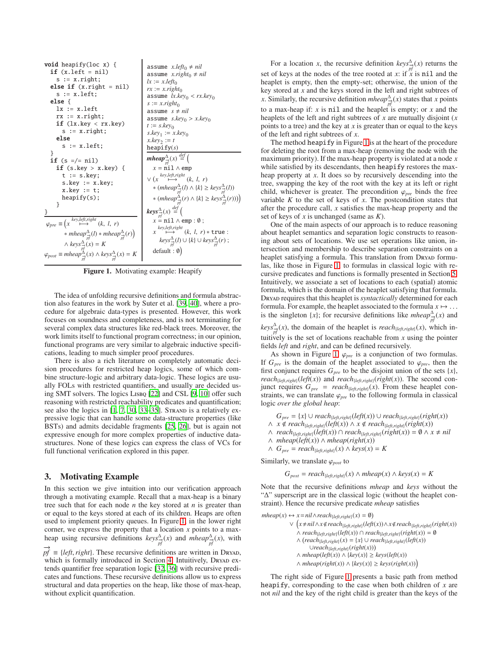| <b>void</b> heapify(loc x) {<br>$if (x.left = nil)$<br>$s := x.right;$<br>else if $(x.right = nil)$<br>$s := x.left$ :<br>else {<br>$lx := x.left$<br>$rx := x.right;$<br>if $(lx.\text{key} < rx.\text{key})$<br>$s := x.right;$<br>else<br>$s := x.left$<br>ł<br>if $(s =/- nil)$<br>if (s.key $>$ x.key) {<br>$t := s.$ key;<br>s.key $:= x.$ key;<br>$x.\text{key} := t;$<br>heapify(s); | assume $x.left_0 \neq nil$<br>assume x.right <sub>0</sub> $\neq$ nil<br>$lx := x.left_0$<br>$rx := x. right_0$<br>assume $lx.key_0 < rx.key_0$<br>$s := x$ .right <sub>0</sub><br>assume $s \neq nil$<br>assume $s.\text{key}_0 > x.\text{key}_0$<br>$t := s \cdot key_0$<br>$s \cdot key_1 := x \cdot key_0$<br>$x \text{.} key_2 := t$<br>heapify $(s)$<br>mheap $\frac{\Delta}{n^2}(x) \stackrel{def}{=} ($<br>$x = \text{nil} \wedge \text{emp}$<br>$\vee$ (x $\stackrel{key, left, right}{\longmapsto}$ (k, l, r)<br>* $(mheap_{\overrightarrow{nt}}^{\Delta}(l) \wedge \{k\} \geq keys_{\overrightarrow{nt}}^{\Delta}(l))$<br>* $(mheap_{\vec{x}}^{\Delta}(r) \wedge \{k\} \geq keys_{\vec{x}}^{\Delta}(r)))$ |
|----------------------------------------------------------------------------------------------------------------------------------------------------------------------------------------------------------------------------------------------------------------------------------------------------------------------------------------------------------------------------------------------|---------------------------------------------------------------------------------------------------------------------------------------------------------------------------------------------------------------------------------------------------------------------------------------------------------------------------------------------------------------------------------------------------------------------------------------------------------------------------------------------------------------------------------------------------------------------------------------------------------------------------------------------------------------------------------------------------------------------|
| ł<br>}                                                                                                                                                                                                                                                                                                                                                                                       | $keys_{\frac{\Delta}{n^{f}}}^{\Delta}(x) \stackrel{def}{=} ($                                                                                                                                                                                                                                                                                                                                                                                                                                                                                                                                                                                                                                                       |
| $\varphi_{pre} \equiv \left(x \stackrel{key, left, right}{\longmapsto} (k, l, r)\right)$<br>$*$ mheap $\frac{\Delta}{n\hat{t}}(l) * m$ heap $\frac{\Delta}{n\hat{t}}(r)$<br>$\wedge \text{keys}_{\rightarrow}^{\Delta}(x) = K$<br>$\varphi_{post} \equiv mheap^{\Delta}_{\vec{x}}(x) \wedge keys^{\Delta}_{\vec{x}}(x) = K$                                                                  | $x = \text{nil} \wedge \text{emp} : \emptyset$ ;<br>key,left,right<br>$\mapsto$ $(k, l, r) *$ true:<br>$\mathcal{X}$<br>$keys_{\overrightarrow{nf}}^{\Delta}(l) \cup \{k\} \cup keys_{\overrightarrow{nf}}^{\Delta}(r)$ ;<br>$default: \emptyset)$                                                                                                                                                                                                                                                                                                                                                                                                                                                                  |

<span id="page-3-0"></span>Figure 1. Motivating example: Heapify

The idea of unfolding recursive definitions and formula abstraction also features in the work by Suter et al. [\[39](#page-11-12), [40\]](#page-11-31), where a procedure for algebraic data-types is presented. However, this work focuses on soundness and completeness, and is not terminating for several complex data structures like red-black trees. Moreover, the work limits itself to functional program correctness; in our opinion, functional programs are very similar to algebraic inductive specifications, leading to much simpler proof procedures.

There is also a rich literature on completely automatic decision procedures for restricted heap logics, some of which combine structure-logic and arbitrary data-logic. These logics are usually FOLs with restricted quantifiers, and usually are decided using SMT solvers. The logics Lisbq [\[22\]](#page-11-32) and CSL [\[9,](#page-11-33) [10](#page-11-34)] offer such reasoning with restricted reachability predicates and quantification; see also the logics in  $[1, 7, 30, 33-35]$  $[1, 7, 30, 33-35]$  $[1, 7, 30, 33-35]$  $[1, 7, 30, 33-35]$  $[1, 7, 30, 33-35]$  $[1, 7, 30, 33-35]$ . Strand is a relatively expressive logic that can handle some data-structure properties (like BSTs) and admits decidable fragments [\[25](#page-11-6), [26\]](#page-11-7), but is again not expressive enough for more complex properties of inductive datastructures. None of these logics can express the class of VCs for full functional verification explored in this paper.

# <span id="page-3-1"></span>3. Motivating Example

In this section we give intuition into our verification approach through a motivating example. Recall that a max-heap is a binary tree such that for each node *n* the key stored at *n* is greater than or equal to the keys stored at each of its children. Heaps are often used to implement priority queues. In Figure [1,](#page-3-0) in the lower right corner, we express the property that a location *x* points to a maxheap using recursive definitions  $keys^{\Delta}_{p\bar{f}}(x)$  and  $mheap^{\Delta}_{p\bar{f}}(x)$ , with  $p f \equiv \{left, right\}$ . These recursive definitions are written in Dryad,

which is formally introduced in Section [4.](#page-4-0) Intuitively, DRYAD extends quantifier free separation logic [\[32,](#page-11-8) [36](#page-11-9)] with recursive predicates and functions. These recursive definitions allow us to express structural and data properties on the heap, like those of max-heap, without explicit quantification.

For a location *x*, the recursive definition  $keys^{\Delta}_{\overrightarrow{pf}}(x)$  returns the set of keys at the nodes of the tree rooted at *x*: if  $\tilde{x}$  is nil and the heaplet is empty, then the empty-set; otherwise, the union of the key stored at *x* and the keys stored in the left and right subtrees of *x*. Similarly, the recursive definition *mheap*<sup>∆</sup><sub>*pf*</sub><sup>*(x)*</sup> states that *x* points to a max-heap if:  $x$  is nil and the heaplet is empty; or  $x$  and the heaplets of the left and right subtrees of *x* are mutually disjoint (*x* points to a tree) and the key at *x* is greater than or equal to the keys of the left and right subtrees of *x*.

The method heapify in Figure [1](#page-3-0) is at the heart of the procedure for deleting the root from a max-heap (removing the node with the maximum priority). If the max-heap property is violated at a node *x* while satisfied by its descendants, then heapify restores the maxheap property at *x*. It does so by recursively descending into the tree, swapping the key of the root with the key at its left or right child, whichever is greater. The precondition  $\varphi_{pre}$  binds the free variable  $K$  to the set of keys of  $x$ . The postcondition states that after the procedure call, *x* satisfies the max-heap property and the set of keys of *x* is unchanged (same as *K*).

One of the main aspects of our approach is to reduce reasoning about heaplet semantics and separation logic constructs to reasoning about sets of locations. We use set operations like union, intersection and membership to describe separation constraints on a heaplet satisfying a formula. This translation from DRYAD formulas, like those in Figure [1,](#page-3-0) to formulas in classical logic with recursive predicates and functions is formally presented in Section [5.](#page-6-0) Intuitively, we associate a set of locations to each (spatial) atomic formula, which is the domain of the heaplet satisfying that formula. Dryad requires that this heaplet is *syntactically* determined for each formula. For example, the heaplet associated to the formula  $x \mapsto \dots$ is the singleton  $\{x\}$ ; for recursive definitions like *mheap*<sup>∆</sup><sub> $\stackrel{\triangle}{p}$ </sub> $f(x)$  and

 $keys_{\vec{p}^f}^{\Delta}(x)$ , the domain of the heaplet is *reach*<sub>{*left,right*}(*x*), which in-</sub> tuitively is the set of locations reachable from *x* using the pointer fields *left* and *right*, and can be defined recursively.

As shown in Figure [1,](#page-3-0)  $\varphi_{pre}$  is a conjunction of two formulas. If  $G_{pre}$  is the domain of the heaplet associated to  $\varphi_{pre}$ , then the first conjunct requires  $G_{pre}$  to be the disjoint union of the sets  $\{x\}$ , *reach*<sub>{*left,right*}(*left*(*x*)) and *reach*<sub>{*left,right*}(*right*(*x*)). The second con-</sub></sub> junct requires  $G_{pre}$  = *reach*<sub>{*left,right*}</sub>(*x*). From these heaplet constraints, we can translate  $\varphi_{pre}$  to the following formula in classical logic *over the global heap*:

 $G_{pre}$  = {*x*} ∪ *reach*<sub>{*left,right*}(*left*(*x*)) ∪ *reach*<sub>{*left,right*}(*right*(*x*))</sub></sub> *N x* ∉ *reach*<sub>{*left,right*}(*left*(*x*))  $\land$  *x* ∉ *reach*<sub>{*left,right*}(*right*(*x*))</sub></sub>

∧  $reach_{\{left\}}(\mathit{left}(x)) \cap reach_{\{left\}}(\mathit{right}(right(x))) = \emptyset \land x \neq nil$ 

∧ *mheap*(*left*(*x*)) ∧ *mheap*(*right*(*x*))

∧ *Gpre* = *reach*{*left*,*right*}(*x*) ∧ *keys*(*x*) = *K*

Similarly, we translate  $\varphi_{post}$  to

 $G_{post} = reach_{\{left, right, right\}}(x) \land mheap(x) \land keys(x) = K$ 

Note that the recursive definitions *mheap* and *keys* without the "∆" superscript are in the classical logic (without the heaplet constraint). Hence the recursive predicate *mheap* satisfies

```
mheap(x) \leftrightarrow x = nil \land reach_{\{left, right\}}(x) = \emptyset∨

x,nil∧x<reach{left,right}(left(x))∧x<reach{left,right}(right(x))
                ∧ reach{left,right}(left(x)) ∩ reach{left,right}(right(x)) = ∅
                ∧ (reach<sub>{left,right}(x) = {x} ∪ reach<sub>{left,right}(left(x))</sub></sub>
                      ∪reach{left,right}(right(x))
               ∧ mheap(left(x)) ∧ {key(x)} ≥ keys(left(x))
               ∧ mheap(right(x)) ∧ {key(x)} ≥ keys(right(x))
```
The right side of Figure [1](#page-3-0) presents a basic path from method heapify, corresponding to the case when both children of *x* are not *nil* and the key of the right child is greater than the keys of the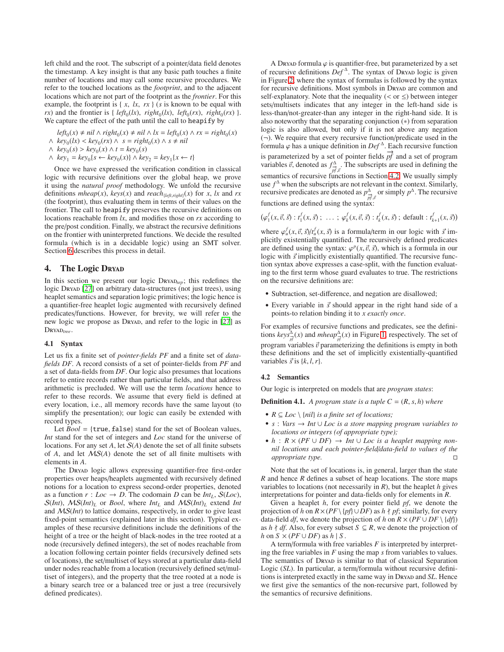left child and the root. The subscript of a pointer/data field denotes the timestamp. A key insight is that any basic path touches a finite number of locations and may call some recursive procedures. We refer to the touched locations as the *footprint*, and to the adjacent locations which are not part of the footprint as the *frontier*. For this example, the footprint is  $\{x, \, lx, \, rx\}$  (*s* is known to be equal with  $rx$ ) and the frontier is {  $left( \frac{left( lx}{r}, \frac{right( lx)}{r}, \frac{left( lx}{r}, \frac{left( x \cdot r}{r} \right))$  }. We capture the effect of the path until the call to heapify by

- $left_0(x) \neq nil \wedge right_0(x) \neq nil \wedge lx = left_0(x) \wedge rx = right_0(x)$
- $\wedge$   $key_0(lx) < key_0(rx) \wedge s = right_0(x) \wedge s \neq nil$

 $\land$  *key*<sub>0</sub>(*s*) > *key*<sub>0</sub>(*x*) ∧ *t* = *key*<sub>0</sub>(*s*)

 $\wedge$  *key*<sub>1</sub> = *key*<sub>0</sub>{*s* ← *key*<sub>0</sub>(*x*)}  $\wedge$  *key*<sub>2</sub> = *key*<sub>1</sub>{*x* ← *t*}

Once we have expressed the verification condition in classical logic with recursive definitions over the global heap, we prove it using the *natural proof* methodology. We unfold the recursive definitions  $mheap(x)$ ,  $keys(x)$  and  $reach_{\{left, right\}}(x)$  for *x*, *lx* and *rx* (the footprint), thus evaluating them in terms of their values on the frontier. The call to heapify preserves the recursive definitions on locations reachable from *lx*, and modifies those on *rx* according to the pre/post condition. Finally, we abstract the recursive definitions on the frontier with uninterpreted functions. We decide the resulted formula (which is in a decidable logic) using an SMT solver. Section [6](#page-8-0) describes this process in detail.

# <span id="page-4-0"></span>4. The Logic Dryad

In this section we present our logic Dryad*sep*; this redefines the logic Dryan [\[27](#page-11-11)] on arbitrary data-structures (not just trees), using heaplet semantics and separation logic primitives; the logic hence is a quantifier-free heaplet logic augmented with recursively defined predicates/functions. However, for brevity, we will refer to the new logic we propose as DryAD, and refer to the logic in [\[27](#page-11-11)] as DRYAD<sub>tree</sub>.

#### 4.1 Syntax

Let us fix a finite set of *pointer-fields PF* and a finite set of *datafields DF*. A record consists of a set of pointer-fields from *PF* and a set of data-fields from *DF*. Our logic also presumes that locations refer to entire records rather than particular fields, and that address arithmetic is precluded. We will use the term *locations* hence to refer to these records. We assume that every field is defined at every location, i.e., all memory records have the same layout (to simplify the presentation); our logic can easily be extended with record types.

Let *Bool* = {true, false} stand for the set of Boolean values, *Int* stand for the set of integers and *Loc* stand for the universe of locations. For any set A, let  $S(A)$  denote the set of all finite subsets of *A*, and let MS(*A*) denote the set of all finite multisets with elements in *A*.

The Dryan logic allows expressing quantifier-free first-order properties over heaps/heaplets augmented with recursively defined notions for a location to express second-order properties, denoted as a function  $r: Loc \rightarrow D$ . The codomain *D* can be *Int<sub>L</sub>*,  $S(Loc)$ ,  $S(int)$ ,  $MS(int)$ <sub>L</sub> or *Bool*, where  $Int<sub>L</sub>$  and  $MS(int)$ <sub>L</sub> extend *Int* and MS(*Int*) to lattice domains, respectively, in order to give least fixed-point semantics (explained later in this section). Typical examples of these recursive definitions include the definitions of the height of a tree or the height of black-nodes in the tree rooted at a node (recursively defined integers), the set of nodes reachable from a location following certain pointer fields (recursively defined sets of locations), the set/multiset of keys stored at a particular data-field under nodes reachable from a location (recursively defined set/multiset of integers), and the property that the tree rooted at a node is a binary search tree or a balanced tree or just a tree (recursively defined predicates).

A DRYAD formula  $\varphi$  is quantifier-free, but parameterized by a set of recursive definitions *Def* <sup>∆</sup> . The syntax of Dryad logic is given in Figure [2,](#page-5-0) where the syntax of formulas is followed by the syntax for recursive definitions. Most symbols in Dreyan are common and self-explanatory. Note that the inequality ( $\lt$  or  $\leq$ ) between integer sets/multisets indicates that any integer in the left-hand side is less-than/not-greater-than any integer in the right-hand side. It is also noteworthy that the separating conjunction (∗) from separation logic is also allowed, but only if it is not above any negation  $(\neg)$ . We require that every recursive function/predicate used in the formula  $\varphi$  has a unique definition in  $Def^{\Delta}$ . Each recursive function is parameterized by a set of pointer fields  $p\ddot{f}$  and a set of program variables  $\vec{v}$ , denoted as  $f^{\Delta}_{\vec{p}^f, \vec{v}}$ . The subscripts are used in defining the semantics of recursive functions in Section [4.2.](#page-4-1) We usually simply use  $f^{\Delta}$  when the subscripts are not relevant in the context. Similarly, recursive predicates are denoted as  $p_{\vec{p}_j^t, \vec{v}}^{\Delta}$  or simply  $p^{\Delta}$ . The recursive functions are defined using the syntax:

$$
(\varphi_1^f(x, \vec{v}, \vec{s}) : t_1^f(x, \vec{s}) : \ldots ; \varphi_k^f(x, \vec{v}, \vec{s}) : t_k^f(x, \vec{s}) ; \text{ default} : t_{k+1}^f(x, \vec{s}))
$$

where  $\varphi_u^f(x, \vec{v}, \vec{s})/t_u^f(x, \vec{s})$  is a formula/term in our logic with  $\vec{s}$  implicitly existentially quantified. The recursively defined predicates are defined using the syntax:  $\varphi^p(x, \vec{v}, \vec{s})$ , which is a formula in our logic with  $\vec{s}$  implicitly existentially quantified. The recursive function syntax above expresses a case-split, with the function evaluating to the first term whose guard evaluates to true. The restrictions on the recursive definitions are:

- Subtraction, set-difference, and negation are disallowed;
- Every variable in  $\vec{s}$  should appear in the right hand side of a points-to relation binding it to *x exactly once*.

For examples of recursive functions and predicates, see the definitions  $keys_{\vec{p}^f}^{\Delta}(x)$  and  $mheap_{\vec{p}^f}^{\Delta}(x)$  in Figure [1,](#page-3-0) respectively. The set of program variables  $\vec{v}$  parameterizing the definitions is empty in both these definitions and the set of implicitly existentially-quantified variables  $\vec{s}$  is  $\{k, l, r\}$ .

#### <span id="page-4-1"></span>4.2 Semantics

Our logic is interpreted on models that are *program states*:

**Definition 4.1.** A program state is a tuple  $C = (R, s, h)$  where

- $R \subseteq Loc \setminus \{nil\}$  *is a finite set of locations;*
- *s* : *Vars* → *Int* ∪ *Loc is a store mapping program variables to locations or integers (of appropriate type);*
- $h: R \times (PF \cup DF) \rightarrow Int \cup Loc$  *is a heaplet mapping nonnil locations and each pointer-field*/*data-field to values of the appropriate type.*

Note that the set of locations is, in general, larger than the state *R* and hence *R* defines a subset of heap locations. The store maps variables to locations (not necessarily in  $R$ ), but the heaplet  $h$  gives interpretations for pointer and data-fields only for elements in *R*.

Given a heaplet *h*, for every pointer field *pf*, we denote the projection of *h* on  $R \times (PF \setminus \{pf\} \cup DF)$  as  $h \nmid pf$ ; similarly, for every data-field *df*, we denote the projection of *h* on  $R \times (PF \cup DF \setminus \{df\})$ as *h*  $\uparrow$  *df*. Also, for every subset *S* ⊆ *R*, we denote the projection of *h* on  $S \times (PF \cup DF)$  as  $h \mid S$ .

A term/formula with free variables  $F$  is interpreted by interpreting the free variables in *F* using the map *s* from variables to values. The semantics of Dryan is similar to that of classical Separation Logic (*SL*). In particular, a term/formula without recursive definitions is interpreted exactly in the same way in Dreyan and *SL*. Hence we first give the semantics of the non-recursive part, followed by the semantics of recursive definitions.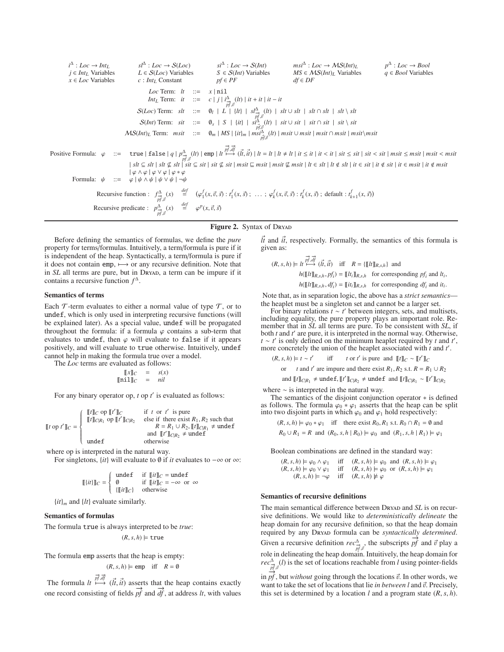$i^{\Delta}$ : *Loc*  $\rightarrow$  *Int<sub>L</sub>*<br>*j*  $\in$  *Int<sub>L</sub>* Variables  $sI^{\Delta}$  : *Loc* → *S*(*Loc*) *si*<sup> $\Delta$ </sup> : *Loc* → *S*(*Int*) *msi*<sup> $\Delta$ </sup> : *Loc* → *MS*(*Int*)*L p*<sup> $\Delta$ </sup> : *Loc* → *Bool L* ∈ *S*(*Loc*) Variables *S* ∈ *S*(*Int*) Variables *MS* ∈ *MS*(*Int*)<sub>*L*</sub> Variables *q* ∈  $p^{\Delta}: Loc \rightarrow Bool$ *j* ∈ *Int<sub>L</sub>* Variables *L* ∈ *S*(*Loc*) Variables *S* ∈ *S*(*Int*) Variables *MS* ∈ *MS*(*Int*)<sub>*L*</sub> Variables *q* ∈ *DF df* ∈ *DF x* ∶ *Int*<sub>*L*</sub> Constant *Loc* Term: *lt* ::= *x* | nil *Int<sub>L</sub>* Term: *it* ::= *c* | *j* |  $i \frac{\Delta}{p f, \vec{v}}$  (*lt*) | *it* + *it* | *it* − *it*  $S(Loc)$  Term:  $slt$  ::=  $\emptyset_l$  |  $L^{\dagger}$  |  $\{lt\}$  |  $s\frac{l\Delta}{p^f, v^f}(lt)$  |  $slt \cup slt$  |  $slt \cap slt$  |  $slt \setminus slt$  $S(Int)$  Term: *sit* ::=  $\mathbf{0}_s$  |  $S$  | {*it*} |  $s\hat{i}^{\hat{\Delta}}_{\rho f,\vec{v}}(lt)$  | *sit*  $\cup$  *sit* | *sit*  $\cap$  *sit* | *sit*  $\setminus$  *sit*  $MS(int)_L$  Term:  $msit$  ::=  $\emptyset_m \mid MS \mid \{it\}_m \mid \stackrel{NS}{\underset{p \notin \mathcal{P}}{\text{dist}}} (lt) \mid msit \cup msit \mid msit \cap msit \mid msit \setminus msit$ Positive Formula:  $\varphi$  ::= true | false | q |  $p_{\overrightarrow{p_i}, \overrightarrow{d}}^{\Delta}(lt)$  | emp |  $lt^{\overrightarrow{pr}, \overrightarrow{df}}_{\overrightarrow{p_f}, \overrightarrow{d}}(\vec{l_t}, \vec{u})$  |  $lt = lt$  |  $lt \neq lt$  |  $it \leq it$  |  $it < it$  |  $sit < sit$  |  $sit < sit$  |  $mist < msit$  |  $msit < msit$  $|slt| \leq slt |slt|$  sit  $\not\subseteq$  sit  $|slt| \leq sit |slt \not\subseteq sit |$  msit  $\sqsubseteq msit |msit \not\sqsubseteq msit |$  it  $\in slt |$  it  $\not\in slt |$  it  $\in sit |$  it  $\not\in ssit |$  it  $\not\subseteq msit |$  it  $\not\subseteq msit |$  $|\varphi \wedge \varphi | \varphi \vee \varphi | \varphi * \varphi$ Formula:  $\psi$  ::=  $\varphi | \psi \wedge \psi | \psi \vee \psi | \neg \psi$ Recursive function :  $f^{\Delta}_{\vec{p},\vec{r}}(x) = ( \varphi_1^f(x,\vec{v},\vec{s}) : t_1^f(x,\vec{s}) ; \dots ; \varphi_k^f(x,\vec{v},\vec{s}) : t_k^f(x,\vec{s}) ;$  default :  $t_{k+1}^f(x,\vec{s})$ Recursive predicate :  $p_{\substack{\rightarrow \\ p \notin \mathcal{J}}}^{\Delta}(x) \stackrel{def}{=} \varphi^p(x, \vec{v}, \vec{s})$ 

# Figure 2. Syntax of DRYAD

Before defining the semantics of formulas, we define the *pure* property for terms/formulas. Intuitively, a term/formula is pure if it is independent of the heap. Syntactically, a term/formula is pure if it does not contain emp,  $\mapsto$  or any recursive definition. Note that in *SL* all terms are pure, but in DRYAD, a term can be impure if it contains a recursive function *f* ∆ .

#### Semantics of terms

Each  $\mathcal T$ -term evaluates to either a normal value of type  $\mathcal T$ , or to undef, which is only used in interpreting recursive functions (will be explained later). As a special value, undef will be propagated throughout the formula: if a formula  $\varphi$  contains a sub-term that evaluates to undef, then  $\varphi$  will evaluate to false if it appears positively, and will evaluate to true otherwise. Intuitively, undef cannot help in making the formula true over a model.

The *Loc* terms are evaluated as follows:

$$
\begin{array}{rcl} [[x]]_C & = & s(x) \\ [[\n \n \text{nil}]]_C & = & nil \end{array}
$$

For any binary operator op, *t* op *t'* is evaluated as follows:

$$
\llbracket t \text{ op } t' \rrbracket_C = \begin{cases} \begin{array}{ll}\n\llbracket t \rrbracket_C \text{ op } \llbracket t' \rrbracket_C & \text{if } t \text{ or } t' \text{ is pure} \\
\llbracket t \rrbracket_{C|R_1} \text{ op } \llbracket t' \rrbracket_{C|R_2} & \text{else if there exist } R_1, R_2 \text{ such that} \\
& R = R_1 \cup R_2, \llbracket t \rrbracket_{C|R_1} \neq \text{undefined} \\
\text{and } \llbracket t' \rrbracket_{C|R_2} \neq \text{undefined} \\
\text{otherwise}\n\end{array}\n\end{cases}
$$

where op is interpreted in the natural way.

For singletons, {*it*} will evaluate to ∅ if *it* evaluates to −∞ or ∞:

$$
\llbracket \{it\} \rrbracket_C = \begin{cases} \text{undef} & \text{if } \llbracket it \rrbracket_C = \text{undef} \\ \emptyset & \text{if } \llbracket it \rrbracket_C = -\infty \text{ or } \infty \\ \{\llbracket it \rrbracket_C\} & \text{otherwise} \end{cases}
$$

 $\{it\}_m$  and  $\{lt\}$  evaluate similarly.

# Semantics of formulas

The formula true is always interpreted to be *true*:  $(R, s, h) \models$  true

The formula emp asserts that the heap is empty:

$$
(R, s, h) \models \text{emp} \quad \text{iff} \quad R = \emptyset
$$

The formula  $\lim_{t \to \infty} \vec{p} \cdot \vec{dt}$ ,  $(\vec{t}, \vec{u})$  asserts that the heap contains exactly one record consisting of fields  $\overrightarrow{pf}$  and  $\overrightarrow{df}$ , at address *lt*, with values <span id="page-5-0"></span> $\vec{l}$  and  $\vec{i}$ , respectively. Formally, the semantics of this formula is given as:

$$
(R, s, h) \models \operatorname{lt} \stackrel{\overrightarrow{pf}, \overrightarrow{df}}{\longmapsto} (\overrightarrow{it}, \overrightarrow{it}) \quad \text{iff} \quad R = \{ [\![\operatorname{lt}]\!]_{R, s, h} \} \text{ and}
$$
\n
$$
h([\![\operatorname{lt}]\!]_{R, s, h}, pf_i) = [\![\operatorname{lt}_i]\!]_{R, s, h} \quad \text{for corresponding } pf_i \text{ and } lt_i
$$
\n
$$
h([\![\operatorname{lt}]\!]_{R, s, h}, df_i) = [\![\operatorname{lt}_i]\!]_{R, s, h} \quad \text{for corresponding } df_i \text{ and } it_i
$$

,

.

Note that, as in separation logic, the above has a *strict semantics* the heaplet must be a singleton set and cannot be a larger set.

For binary relations *t* ∼ *t* ′ between integers, sets, and multisets, including equality, the pure property plays an important role. Remember that in *SL* all terms are pure. To be consistent with *SL*, if both *t* and *t* ′ are pure, it is interpreted in the normal way. Otherwise,  $t \sim t'$  is only defined on the minimum heaplet required by *t* and *t'*, more concretely the union of the heaplet associated with *t* and *t* ′ .

$$
(R, s, h) \models t \sim t'
$$
 iff  $t$  or  $t'$  is pure and  $[\![t]\!]_C \sim [\![t']\!]_C$   
or  $t$  and  $t'$  are impure and there exist  $R_1, R_2$  s.t.  $R = R_1 \cup R_2$   
and  $[\![t]\!]_C | R_1 \neq \text{undef}, [\![t']\!]_C | R_2 \neq \text{undef} \text{ and } [\![t]\!]_C | R_1 \sim [\![t']\!]_C | R_2$ 

where  $~\sim$  is interpreted in the natural way.

The semantics of the disjoint conjunction operator ∗ is defined as follows. The formula  $\varphi_0 * \varphi_1$  asserts that the heap can be split into two disjoint parts in which  $\varphi_0$  and  $\varphi_1$  hold respectively:

 $(R, s, h) \models \varphi_0 * \varphi_1$  iff there exist  $R_0, R_1$  s.t.  $R_0 \cap R_1 = \emptyset$  and  $R_0 \cup R_1 = R$  and  $(R_0, s, h | R_0) \models \varphi_0$  and  $(R_1, s, h | R_1) \models \varphi_1$ 

Boolean combinations are defined in the standard way:

| $(R, s, h) \models \varphi_0 \wedge \varphi_1$                                                                  |  | iff $(R, s, h) \models \varphi_0$ and $(R, s, h) \models \varphi_1$ |
|-----------------------------------------------------------------------------------------------------------------|--|---------------------------------------------------------------------|
| $(R, s, h) \models \varphi_0 \lor \varphi_1$ iff $(R, s, h) \models \varphi_0$ or $(R, s, h) \models \varphi_1$ |  |                                                                     |
| $(R, s, h) \models \neg \varphi$ iff $(R, s, h) \not\models \varphi$                                            |  |                                                                     |

#### Semantics of recursive definitions

The main semantical difference between DRYAD and *SL* is on recursive definitions. We would like to *deterministically delineate* the heap domain for any recursive definition, so that the heap domain required by any Dryad formula can be *syntactically determined*. Given a recursive definition  $rec^{\Delta}_{\overrightarrow{p^{\dagger}},\overrightarrow{v}}$ , the subscripts  $\overrightarrow{p^f}$  and  $\overrightarrow{v}$  play a role in delineating the heap domain. Intuitively, the heap domain for  $rec^{\Delta}_{\overrightarrow{p}, \overrightarrow{v}}(l)$  is the set of locations reachable from *l* using pointer-fields

 $\lim_{p \to \infty} \frac{p}{p f}$ , but *without* going through the locations  $\vec{v}$ . In other words, we want to take the set of locations that lie *in between l* and  $\vec{v}$ . Precisely, this set is determined by a location  $l$  and a program state  $(R, s, h)$ .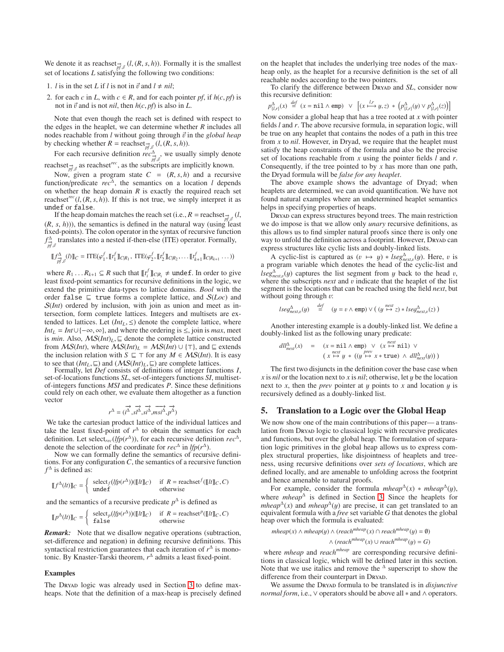We denote it as reachset  $\overrightarrow{p}$  (*l*, (*R*, *s*, *h*)). Formally it is the smallest set of locations *L* satisfying the following two conditions:

- 1. *l* is in the set *L* if *l* is not in  $\vec{v}$  and  $l \neq nil$ ;
- 2. for each *c* in *L*, with  $c \in R$ , and for each pointer *pf*, if  $h(c, pt)$  is not in  $\vec{v}$  and is not *nil*, then  $h(c, pf)$  is also in *L*.

Note that even though the reach set is defined with respect to the edges in the heaplet, we can determine whether *R* includes all nodes reachable from  $l$  without going through  $\vec{v}$  in the *global heap* by checking whether  $R = \text{reacheset}_{p\hat{f},\vec{v}} (l,(R, s, h)).$ 

For each recursive definition  $rec_{p\overrightarrow{f}, \overrightarrow{v}}^{\Delta}$ , we usually simply denote reachset $\frac{1}{n^f}$  as reachset<sup>rec</sup>, as the subscripts are implicitly known.

Now, given a program state  $C = (R, s, h)$  and a recursive function/predicate  $rec^{\Delta}$ , the semantics on a location *l* depends on whether the heap domain  $R$  is exactly the required reach set reachset<sup>rec</sup>( $l$ ,  $(R, s, h)$ ). If this is not true, we simply interpret it as undef or false.

If the heap domain matches the reach set (i.e.,  $R = \text{reaches} \rightarrow \phi$  *(l,*  $(R, s, h)$ ), the semantics is defined in the natural way (using least fixed-points). The colon operator in the syntax of recursive function  $f^{\Delta}_{\vec{p},\vec{v}}$  translates into a nested if-then-else (ITE) operator. Formally,

$$
[\![f^{\Delta}_{\overrightarrow{p_{J}^{\prime}},\overrightarrow{v}}(l)]\!]_{C} = \text{ITE}(\varphi_{1}^{f}, [\![t_{1}^{f}]\!]_{C|R_{1}}, \ \text{ITE}(\varphi_{2}^{f}, [\![t_{2}^{f}]\!]_{C|R_{2}}, \ldots [\![t_{k+1}^{f}]\!]_{C|R_{k+1}} \ldots))
$$

where  $R_1 \ldots R_{k+1} \subseteq R$  such that  $\llbracket t_i^f \rrbracket_{C|R_i} \neq \text{under f. In order to give}$ least fixed-point semantics for recursive definitions in the logic, we extend the primitive data-types to lattice domains. *Bool* with the order false ⊑ true forms a complete lattice, and S(*Loc*) and S(*Int*) ordered by inclusion, with join as union and meet as intersection, form complete lattices. Integers and multisets are extended to lattices. Let  $(Int_L, \leq)$  denote the complete lattice, where *Int*<sub>*L*</sub> = *Int*∪{ $-\infty$ ,  $\infty$ }, and where the ordering is  $\leq$ , join is *max*, meet is *min*. Also,  $MS(Int)<sub>L</sub>$ , ⊑ denote the complete lattice constructed from  $MS(Int)$ , where  $MS(Int)_L = MS(Int) \cup {\top}$ , and  $\sqsubseteq$  extends the inclusion relation with *S*  $\subseteq$  ⊤ for any *M*  $\in$  *MS*(*Int*). It is easy to see that  $(Int_L, \sqsubseteq)$  and  $(\mathcal{MS}(Int)_L, \sqsubseteq)$  are complete lattices.

Formally, let *Def* consists of definitions of integer functions *I*, set-of-locations functions *SL*, set-of-integers functions *SI*, multisetof-integers functions *MSI* and predicates *P*. Since these definitions could rely on each other, we evaluate them altogether as a function vector

$$
r^{\Delta} = (\overrightarrow{i^{\Delta}}, \overrightarrow{s^{\Delta}}, \overrightarrow{si^{\Delta}}, \overrightarrow{msi^{\Delta}}, \overrightarrow{p^{\Delta}})
$$

We take the cartesian product lattice of the individual lattices and take the least fixed-point of  $r^{\Delta}$  to obtain the semantics for each definition. Let select<sub>rec</sub>(*lfp*( $r^{\Delta}$ )), for each recursive definition *rec*<sup> $\Delta$ </sup>, denote the selection of the coordinate for  $rec^{\Delta}$  in *lfp*( $r^{\Delta}$ ).

Now we can formally define the semantics of recursive definitions. For any configuration *C*, the semantics of a recursive function  $f^{\Delta}$  is defined as:

$$
\llbracket f^{\Delta}(lt)\rrbracket_C = \begin{cases} \text{select}_f(\{fp(r^{\Delta})) (\llbracket lt\rrbracket_C) & \text{if } R = \text{reachset}^f (\llbracket lt\rrbracket_C, C) \\ \text{under} & \text{otherwise} \end{cases}
$$

and the semantics of a recursive predicate  $p^{\Delta}$  is defined as

$$
[\![p^{\Delta}(lt)]\!]_C = \left\{\begin{array}{ll}\text{select}_p(lfp(r^{\Delta}))([\![lt]\!]/_C) & \text{if } R = \text{reachset}^p([\![lt]\!]/_C, C) \\ \text{false} & \text{otherwise}\end{array}\right.
$$

*Remark:* Note that we disallow negative operations (subtraction, set-difference and negation) in defining recursive definitions. This syntactical restriction guarantees that each iteration of  $r^{\Delta}$  is monotonic. By Knaster-Tarski theorem, *r* ∆ admits a least fixed-point.

#### Examples

The Dryan logic was already used in Section [3](#page-3-1) to define maxheaps. Note that the definition of a max-heap is precisely defined

on the heaplet that includes the underlying tree nodes of the maxheap only, as the heaplet for a recursive definition is the set of all reachable nodes according to the two pointers.

To clarify the difference between DRYAD and *SL*, consider now this recursive definition:

$$
p^\Delta_{\{l,r\}}(x) \stackrel{def}{=} (x = \texttt{nil} \land \texttt{emp}) \lor \left[ (x \xrightarrow{l,r} y, z) * (p^\Delta_{\{l,r\}}(y) \lor p^\Delta_{\{l,r\}}(z)) \right]
$$

Now consider a global heap that has a tree rooted at *x* with pointer fields *l* and *r*. The above recursive formula, in separation logic, will be true on any heaplet that contains the nodes of a path in this tree from *x* to *nil*. However, in Dryad, we require that the heaplet must satisfy the heap constraints of the formula and also be the precise set of locations reachable from *x* using the pointer fields *l* and *r*. Consequently, if the tree pointed to by *x* has more than one path, the Dryad formula will be *false for any heaplet*.

The above example shows the advantage of Dryad; when heaplets are determined, we can avoid quantification. We have not found natural examples where an undetermined heaplet semantics helps in specifying properties of heaps.

Dryad can express structures beyond trees. The main restriction we do impose is that we allow only *unary* recursive definitions, as this allows us to find simpler natural proofs since there is only one way to unfold the definition across a footprint. However, DRYAD can express structures like cyclic lists and doubly-linked lists.

A cyclic-list is captured as  $(v \mapsto y) * \textit{lseg}^{\Delta}_{\textit{next},v}(y)$ . Here, v is a program variable which denotes the head of the cyclic-list and  $lseg_{next,v}^{\Delta}(y)$  captures the list segment from y back to the head v, where the subscripts *next* and *v* indicate that the heaplet of the list segment is the locations that can be reached using the field *next*, but without going through  $v$ :

$$
lseq_{next,v}^{\Delta}(y) \stackrel{def}{=} (y = v \wedge emp) \vee ((y \stackrel{next}{\mapsto} z) * lseq_{next,v}^{\Delta}(z))
$$

Another interesting example is a doubly-linked list. We define a doubly-linked list as the following unary predicate:

$$
\begin{array}{lll} \displaystyle{dll_{next}^{\Delta}(x)} & = & \displaystyle{(x=\text{nil}\wedge \text{emp}) \vee (x \overset{next}{\mapsto} \text{nil}) \vee} \\ & & \displaystyle{(x \overset{next}{\mapsto} y \ast ((y \overset{prev}{\mapsto} x * \text{true}) \wedge dll_{next}^{\Delta}(y)))} \end{array}
$$

The first two disjuncts in the definition cover the base case when *x* is *nil* or the location next to *x* is *nil*; otherwise, let y be the location next to *x*, then the *prev* pointer at y points to *x* and location y is recursively defined as a doubly-linked list.

# <span id="page-6-0"></span>5. Translation to a Logic over the Global Heap

We now show one of the main contributions of this paper— a translation from Dryan logic to classical logic with recursive predicates and functions, but over the global heap. The formulation of separation logic primitives in the global heap allows us to express complex structural properties, like disjointness of heaplets and treeness, using recursive definitions over *sets of locations*, which are defined locally, and are amenable to unfolding across the footprint and hence amenable to natural proofs.

For example, consider the formula  $mheap^{\Delta}(x) * mheap^{\Delta}(y)$ , where *mheap* $^{\Delta}$  is defined in Section [3.](#page-3-1) Since the heaplets for *mheap*<sup> $\Delta$ </sup>(*x*) and *mheap*<sup> $\Delta$ </sup>(*y*) are precise, it can get translated to an equivalent formula with a *free* set variable *G* that denotes the global heap over which the formula is evaluated:

$$
mheap(x) \land mheap(y) \land (reach^{mheap}(x) \cap reach^{mheap}(y) = \emptyset)
$$

$$
\land (reach^{mheap}(x) \cup reach^{mheap}(y) = G)
$$

where *mheap* and *reachmheap* are corresponding recursive definitions in classical logic, which will be defined later in this section. Note that we use italics and remove the  $\Delta$  superscript to show the difference from their counterpart in DryAD.

We assume the DRYAD formula to be translated is in *disjunctive normal form*, i.e., ∨ operators should be above all  $*$  and ∧ operators.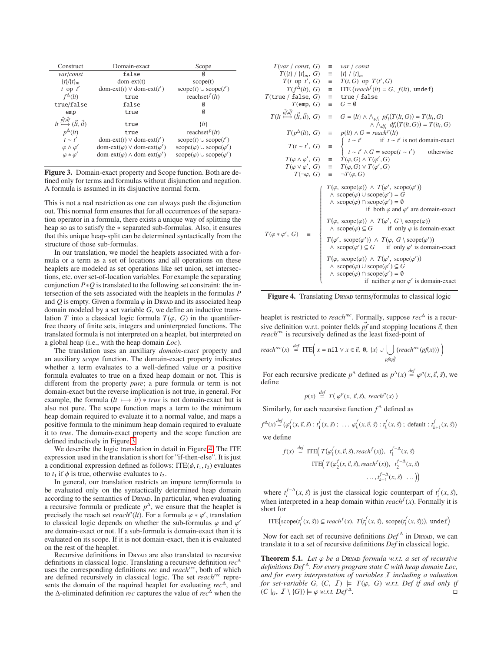| Construct                                                     | Domain-exact                                              | Scope                                            |  |
|---------------------------------------------------------------|-----------------------------------------------------------|--------------------------------------------------|--|
| var/const                                                     | false                                                     | Ø                                                |  |
| $\{t\}/\{t\}_m$                                               | $dom-ext(t)$                                              | score(t)                                         |  |
| $t$ op $t'$                                                   | dom-ext(t) $\vee$ dom-ext(t')                             | $score(t) \cup scope(t')$                        |  |
| $f^{\Delta}(lt)$                                              | true                                                      | reachset $f(tt)$                                 |  |
| true/false                                                    | false                                                     | Ø                                                |  |
| emp                                                           | true                                                      |                                                  |  |
| $lt \stackrel{\rightarrow}{\longmapsto} (\vec{lt}, \vec{it})$ | true                                                      | $\{lt\}$                                         |  |
| $p^{\Delta}(lt)$                                              | true                                                      | reachset <sup><math>p</math></sup> ( <i>lt</i> ) |  |
| $t \sim t'$                                                   | $dom\text{-}ext(t) \vee dom\text{-}ext(t')$               | $score(t) \cup scope(t')$                        |  |
| $\varphi \wedge \varphi'$                                     | dom-ext( $\varphi$ ) $\vee$ dom-ext( $\varphi'$ )         | $score(\varphi) \cup scope(\varphi')$            |  |
| $\varphi * \varphi'$                                          | $dom\text{-}ext(\varphi) \wedge dom\text{-}ext(\varphi')$ | $score(\varphi) \cup scope(\varphi')$            |  |

<span id="page-7-0"></span>Figure 3. Domain-exact property and Scope function. Both are defined only for terms and formulas without disjunction and negation. A formula is assumed in its disjunctive normal form.

This is not a real restriction as one can always push the disjunction out. This normal form ensures that for all occurrences of the separation operator in a formula, there exists a unique way of splitting the heap so as to satisfy the ∗ separated sub-formulas. Also, it ensures that this unique heap-split can be determined syntactically from the structure of those sub-formulas.

In our translation, we model the heaplets associated with a formula or a term as a set of locations and all operations on these heaplets are modeled as set operations like set union, set intersections, etc. over set-of-location variables. For example the separating conjunction *P*∗*Q* is translated to the following set constraint: the intersection of the sets associated with the heaplets in the formulas *P* and  $Q$  is empty. Given a formula  $\varphi$  in Dryan and its associated heap domain modeled by a set variable *G*, we define an inductive translation *T* into a classical logic formula  $T(\varphi, G)$  in the quantifierfree theory of finite sets, integers and uninterpreted functions. The translated formula is not interpreted on a heaplet, but interpreted on a global heap (i.e., with the heap domain *Loc*).

The translation uses an auxiliary *domain-exact* property and an auxiliary *scope* function. The domain-exact property indicates whether a term evaluates to a well-defined value or a positive formula evaluates to true on a fixed heap domain or not. This is different from the property *pure*; a pure formula or term is not domain-exact but the reverse implication is not true, in general. For example, the formula  $(lt \mapsto it) * true$  is not domain-exact but is also not pure. The scope function maps a term to the minimum heap domain required to evaluate it to a normal value, and maps a positive formula to the minimum heap domain required to evaluate it to *true*. The domain-exact property and the scope function are defined inductively in Figure [3.](#page-7-0)

We describe the logic translation in detail in Figure [4.](#page-7-1) The ITE expression used in the translation is short for "if-then-else". It is just a conditional expression defined as follows:  $ITE(\phi, t_1, t_2)$  evaluates to  $t_1$  if  $\phi$  is true, otherwise evaluates to  $t_2$ .

In general, our translation restricts an impure term/formula to be evaluated only on the syntactically determined heap domain according to the semantics of DryAD. In particular, when evaluating a recursive formula or predicate  $p^{\Delta}$ , we ensure that the heaplet is precisely the reach set  $reach^p(lt)$ . For a formula  $\varphi * \varphi'$ , translation to classical logic depends on whether the sub-formulas  $\varphi$  and  $\varphi'$ are domain-exact or not. If a sub-formula is domain-exact then it is evaluated on its scope. If it is not domain-exact, then it is evaluated on the rest of the heaplet.

Recursive definitions in Dryan are also translated to recursive definitions in classical logic. Translating a recursive definition *rec*<sup>∆</sup> uses the corresponding definitions *rec* and *reachrec*, both of which are defined recursively in classical logic. The set *reachrec* represents the domain of the required heaplet for evaluating *rec*<sup>∆</sup> , and the ∆-eliminated definition *rec* captures the value of *rec*<sup>∆</sup> when the

T(var / const, G) = var / const  
\nT(t) {t<sub>1</sub>, G} = t<sub>1</sub> / t<sub>1</sub>  
\nT(t) of T(t) G) = T(t, G) op T(t', G)  
\nT(f<sup>2</sup>(t), G) = TTE (reach<sup>f</sup>(t) = G, f(t), undef)  
\nT(true / false, G) = true / false  
\nT(em, G) = G = 0  
\nT(t<sup>i</sup>, 
$$
\vec{d}
$$
,  $\vec{d}$ ,  $\vec{d}$ ) = G = 0  
\nT(t<sup>j</sup>,  $\vec{d}$ ,  $\vec{d}$ ,  $\vec{d}$ ) = G = t<sup>1</sup>( $\vec{d}$ ),  $\wedge$   $\wedge$   $\wedge$   $\wedge$   $\wedge$   $\wedge$   $\wedge$   $\wedge$   $\hat{d}$   $\wedge$   $\hat{f}$  (T(t, G)) = T(t<sub>i</sub>, G)  
\nT(p<sup>2</sup>(t), G) = p(t<sup>i</sup>)  $\wedge$  G = reach<sup>*p*</sup>(t)  
\nT(t ~ t', G) = p(t<sup>i</sup>)  $\wedge$  G = reach<sup>*p*</sup>(t)  
\nT(t ~ t', G) = T(\varphi, G)  $\wedge$  T(\varphi', G)  
\nT(\varphi, G) = T(\varphi, G)  $\vee$  T(\varphi', G)  
\nT(-\varphi, G) = T(\varphi, G)  $\vee$  T(\varphi', G)  
\nT(-\varphi, G) = T(\varphi, G)  
\n $\wedge$  scope( $\varphi$ )  $\wedge$  T(\varphi', scope( $\varphi'$ ))  
\n $\wedge$  scope( $\varphi$ )  $\wedge$  T(\varphi', scope( $\varphi'$ ))  
\n $\wedge$  scope( $\varphi$ )  $\wedge$  T(\varphi', G  $\vee$  scope( $\varphi$ ))  
\n $\wedge$  scope( $\varphi$ )  $\wedge$  T(\varphi', G  $\vee$  scope( $\varphi$ ))  
\n $\wedge$  scope( $\varphi$ 

<span id="page-7-1"></span>Figure 4. Translating DRYAD terms/formulas to classical logic

heaplet is restricted to *reachrec*. Formally, suppose *rec*<sup>∆</sup> is a recursive definition w.r.t. pointer fields  $\vec{p}$  and stopping locations  $\vec{v}$ , then *reachrec* is recursively defined as the least fixed-point of

$$
reach^{rec}(x) \stackrel{def}{=} \text{ITE} \Big( x = \text{nil} \lor x \in \vec{v}, 0, \{x\} \cup \bigcup_{p \notin \vec{p} \uparrow} (reach^{rec}(pf(x))) \Big)
$$

For each recursive predicate  $p^{\Delta}$  defined as  $p^{\Delta}(x) \stackrel{def}{=} \varphi^p(x, \vec{v}, \vec{s})$ , we define

$$
p(x) \stackrel{\text{def}}{=} T(\varphi^p(x, \vec{v}, \vec{s}), \, reach^p(x))
$$

Similarly, for each recursive function  $f^{\Delta}$  defined as

$$
f^{\Delta}(x) \stackrel{\text{def}}{=} (\varphi_1^f(x, \vec{v}, \vec{s}) : t_1^f(x, \vec{s}) ; \ \dots \ \varphi_k^f(x, \vec{v}, \vec{s}) : t_k^f(x, \vec{s}) ; \ \text{default} : t_{k+1}^f(x, \vec{s}) )
$$
\nwe define

$$
f(x) \stackrel{def}{=} \text{ITE}\Big(T(\varphi_1^f(x, \vec{v}, \vec{s}), reach^f(x)), \ t_1^{f-\Delta}(x, \vec{s})
$$
  

$$
\text{ITE}\Big(T(\varphi_2^f(x, \vec{v}, \vec{s}), reach^f(x)), \ t_2^{f-\Delta}(x, \vec{s})
$$
  

$$
\cdots, t_{k+1}^{f-\Delta}(x, \vec{s}) \ \cdots \Big)\Big)
$$

where  $t_i^{f-\Delta}(x, \vec{s})$  is just the classical logic counterpart of  $t_i^f(x, \vec{s})$ , when interpreted in a heap domain within  $reach<sup>f</sup>(x)$ . Formally it is short for

$$
ITE\big(\text{scope}(t_i^f(x, \vec{s})) \subseteq reach^f(x), T(t_i^f(x, \vec{s}), \text{scope}(t_i^f(x, \vec{s}))), \text{ undef}\big)
$$

Now for each set of recursive definitions  $Def^{\triangle}$  in Dreyan, we can translate it to a set of recursive definitions *Def* in classical logic.

**Theorem 5.1.** *Let*  $\varphi$  *be a* Dryap *formula w.r.t. a set of recursive definitions Def* <sup>∆</sup> *. For every program state C with heap domain Loc, and for every interpretation of variables* I *including a valuation for set-variable G,*  $(C, I) \models T(\varphi, G)$  *w.r.t. Def if and only if*  $(C \mid_G, I \setminus \{G\}) \models \varphi \text{ w.r.t. } Def^{\Delta}.$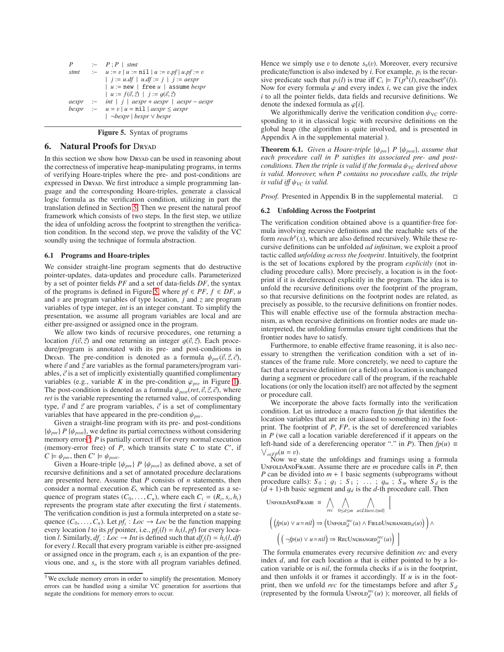| P     |        | $\vdash$ $P : P \mid$ stmt                                              |
|-------|--------|-------------------------------------------------------------------------|
| stmt  | $\sim$ | $u := v \mid u := \text{nil} \mid u := v \cdot pf \mid u \cdot pf := v$ |
|       |        | $j := u \, df \mid u \, df := j \mid j := a \, exp \, r$                |
|       |        | $ u  := new$   free u   assume <i>bexpr</i>                             |
|       |        | $u := f(\vec{v}, \vec{z})$   $i := q(\vec{v}, \vec{z})$                 |
| aexpr |        | :- int   $j$   $aexpr + aexpr$   $aexpr - aexpr$                        |
| bexpr |        | $u = v   u = \text{nil}   aexpr \le aexpr$                              |
|       |        | $\vert \neg$ bexpr $\vert$ bexpr $\vee$ bexpr                           |

<span id="page-8-1"></span>Figure 5. Syntax of programs

# <span id="page-8-0"></span>**6.** Natural Proofs for DRYAD

In this section we show how Dryan can be used in reasoning about the correctness of imperative heap-manipulating programs, in terms of verifying Hoare-triples where the pre- and post-conditions are expressed in Dryan. We first introduce a simple programming language and the corresponding Hoare-triples, generate a classical logic formula as the verification condition, utilizing in part the translation defined in Section [5.](#page-6-0) Then we present the natural proof framework which consists of two steps. In the first step, we utilize the idea of unfolding across the footprint to strengthen the verification condition. In the second step, we prove the validity of the VC soundly using the technique of formula abstraction.

#### 6.1 Programs and Hoare-triples

We consider straight-line program segments that do destructive pointer-updates, data-updates and procedure calls. Parameterized by a set of pointer fields *PF* and a set of data-fields *DF*, the syntax of the programs is defined in Figure [5,](#page-8-1) where  $pf \in PF$ ,  $f \in DF$ ,  $u$ and v are program variables of type location, *j* and *z* are program variables of type integer, *int* is an integer constant. To simplify the presentation, we assume all program variables are local and are either pre-assigned or assigned once in the program.

We allow two kinds of recursive procedures, one returning a location  $f(\vec{v}, \vec{z})$  and one returning an integer  $g(\vec{v}, \vec{z})$ . Each procedure/program is annotated with its pre- and post-conditions in Dryad. The pre-condition is denoted as a formula  $\psi_{pre}(\vec{v}, \vec{z}, \vec{c})$ , where  $\vec{v}$  and  $\vec{z}$  are variables as the formal parameters/program variables,  $\vec{c}$  is a set of implicitly existentially quantified complimentary variables (e.g., variable *K* in the pre-condition  $\varphi_{pre}$  in Figure [1\)](#page-3-0). The post-condition is denoted as a formula  $\psi_{post}(ret, \vec{v}, \vec{z}, \vec{c})$ , where *ret* is the variable representing the returned value, of corresponding type,  $\vec{v}$  and  $\vec{z}$  are program variables,  $\vec{c}$  is a set of complimentary variables that have appeared in the pre-condition  $\psi_{pre}$ .

Given a straight-line program with its pre- and post-conditions  ${\psi_{pre}} P {\psi_{post}}$ , we define its partial correctness without considering memory errors<sup>[3](#page-8-2)</sup>: P is partially correct iff for every normal execution (memory-error free) of  $P$ , which transits state  $C$  to state  $C'$ , if  $C \models \psi_{pre}$ , then  $C' \models \psi_{post}$ .

Given a Hoare-triple  $\{\psi_{pre}\}\ P\ \{\psi_{post}\}\$ as defined above, a set of recursive definitions and a set of annotated procedure declarations are presented here. Assume that *P* consists of *n* statements, then consider a normal execution  $\mathcal{E}$ , which can be represented as a sequence of program states  $(C_0, \ldots, C_n)$ , where each  $C_i = (R_i, s_i, h_i)$ represents the program state after executing the first *i* statements. The verification condition is just a formula interpreted on a state sequence  $(C_0, \ldots, C_n)$ . Let  $pf_i: Loc \rightarrow Loc$  be the function mapping every location *l* to its *pf* pointer, i.e.,  $pf_i(l) = h_i(l, pf)$  for every location *l*. Similarly,  $df_i$ :  $Loc \rightarrow Int$  is defined such that  $df_i(l) = h_i(l, df)$ for every *l*. Recall that every program variable is either pre-assigned or assigned once in the program, each  $s_i$  is an expantion of the previous one, and *s<sup>n</sup>* is the store with all program variables defined.

Hence we simply use  $v$  to denote  $s_n(v)$ . Moreover, every recursive predicate/function is also indexed by  $i$ . For example,  $p_i$  is the recursive predicate such that  $p_i(l)$  is true iff  $C_i \models T(p^{\Delta}(l))$ , reachset<sup>*p*</sup>(*l*)). Now for every formula  $\varphi$  and every index *i*, we can give the index *i* to all the pointer fields, data fields and recursive definitions. We denote the indexed formula as  $\varphi[i]$ .

We algorithmically derive the verification condition  $\psi_{\text{VC}}$  corresponding to it in classical logic with recursive definitions on the global heap (the algorithm is quite involved, and is presented in Appendix A in the supplemental material ).

**Theorem 6.1.** *Given a Hoare-triple* { $\psi_{pre}$ } *P* { $\psi_{post}$ }*, assume that each procedure call in P satisfies its associated pre- and postconditions. Then the triple is valid if the formula*  $ψ<sub>VC</sub>$  *derived above is valid. Moreover, when P contains no procedure calls, the triple is valid iff*  $\psi_{VC}$  *is valid.* 

*Proof.* Presented in Appendix B in the supplemental material. □

#### 6.2 Unfolding Across the Footprint

The verification condition obtained above is a quantifier-free formula involving recursive definitions and the reachable sets of the form  $reach^p(x)$ , which are also defined recursively. While these recursive definitions can be unfolded *ad infinitum*, we exploit a proof tactic called *unfolding across the footprint*. Intuitively, the footprint is the set of locations explored by the program *explicitly* (not including procedure calls). More precisely, a location is in the footprint if it is dereferenced explicitly in the program. The idea is to unfold the recursive definitions over the footprint of the program, so that recursive definitions on the footprint nodes are related, as precisely as possible, to the recursive definitions on frontier nodes. This will enable effective use of the formula abstraction mechanism, as when recursive definitions on frontier nodes are made uninterpreted, the unfolding formulas ensure tight conditions that the frontier nodes have to satisfy.

Furthermore, to enable effective frame reasoning, it is also necessary to strengthen the verification condition with a set of instances of the frame rule. More concretely, we need to capture the fact that a recursive definition (or a field) on a location is unchanged during a segment or procedure call of the program, if the reachable locations (or only the location itself) are not affected by the segment or procedure call.

We incorporate the above facts formally into the verification condition. Let us introduce a macro function *fp* that identifies the location variables that are in (or aliased to something in) the footprint. The footprint of *P*, *FP*, is the set of dereferenced variables in *P* (we call a location variable dereferenced if it appears on the left-hand side of a dereferencing operator "." in *P*). Then  $fp(u) \equiv$  $\bigvee_{v\in FP}(u=v).$ 

Now we state the unfoldings and framings using a formula UnfoldAndFrame. Assume there are *m* procedure calls in *P*, then *P* can be divided into *m* + 1 basic segments (subprograms without procedure calls):  $S_0$ ;  $g_1$ ;  $S_1$ ; ...;  $g_m$ ;  $S_m$  where  $S_d$  is the  $(d + 1)$ -th basic segment and  $g_d$  is the *d*-th procedure call. Then

UNFOLDANDFRAME

\n
$$
\begin{aligned}\n&= \bigwedge_{rec} \bigwedge_{0 \leq d \leq m} \bigwedge_{u \in LVars \cup \{nil\}} \Big[ \\
&\left( \left( \hat{p}(u) \lor u = nil \right) \Rightarrow \left( \text{UNFOLD}_{d}^{rec}(u) \land \text{FIELDUNCHANGED}_{d}(u) \right) \right) \land \\
&\left( \left( \neg \hat{p}(u) \lor u = nil \right) \Rightarrow \text{RecUNCHANGED}_{d}^{rec}(u) \right)\n\end{aligned}
$$

The formula enumerates every recursive definition *rec* and every index  $d$ , and for each location  $u$  that is either pointed to by a location variable or is *nil*, the formula checks if *u* is in the footprint, and then unfolds it or frames it accordingly. If *u* is in the footprint, then we unfold *rec* for the timestamps before and after  $S_d$ (represented by the formula  $\text{UnfOLD}_d^{rec}(u)$ ); moreover, all fields of

<span id="page-8-2"></span><sup>&</sup>lt;sup>3</sup> We exclude memory errors in order to simplify the presentation. Memory errors can be handled using a similar VC generation for assertions that negate the conditions for memory errors to occur.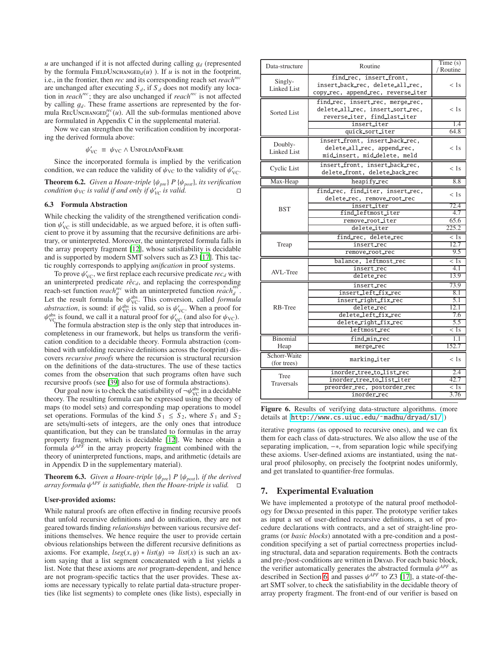$u$  are unchanged if it is not affected during calling  $g_d$  (represented by the formula FIELDUNCHANGED<sub>d</sub> $(u)$ ). If *u* is not in the footprint, i.e., in the frontier, then *rec* and its corresponding reach set *reachrec* are unchanged after executing  $S_d$ , if  $S_d$  does not modify any location in *reachrec*; they are also unchanged if *reachrec* is not affected by calling g*d*. These frame assertions are represented by the formula RecUnchange $D_d^{rec}(u)$ . All the sub-formulas mentioned above are formulated in Appendix C in the supplemental material.

Now we can strengthen the verification condition by incorporating the derived formula above:

 $\psi_{\text{VC}}' \equiv \psi_{\text{VC}} \wedge \text{Unfold} \text{AND} \text{Frame}$ 

Since the incorporated formula is implied by the verification condition, we can reduce the validity of  $\psi_{\text{VC}}$  to the validity of  $\psi_{\text{VC}}'$ .

**Theorem 6.2.** *Given a Hoare-triple* { $\psi_{pre}$ } *P* { $\psi_{post}$ }*, its verification*  $\Box$ *condition*  $\psi_{\text{VC}}$  *is valid if and only if*  $\psi_{\text{VC}}'$  *is valid.* 

# 6.3 Formula Abstraction

While checking the validity of the strengthened verification condition  $\psi_{\text{VC}}'$  is still undecidable, as we argued before, it is often sufficient to prove it by assuming that the recursive definitions are arbitrary, or uninterpreted. Moreover, the uninterpreted formula falls in the array property fragment [\[12](#page-11-5)], whose satisfiability is decidable and is supported by modern SMT solvers such as Z3 [\[17](#page-11-40)]. This tactic roughly corresponds to applying *unification* in proof systems.

To prove  $\psi'_{\text{VC}}$ , we first replace each recursive predicate  $rec_d$  with an uninterpreted predicate  $r\hat{e}c_d$ , and replacing the corresponding reach-set function *reach*<sup>rec</sup> with an uninterpreted function  $\hat{reach}_d^{\text{rec}}$ . Let the result formula be  $\psi_{\text{VC}}^{\text{abs}}$ . This conversion, called *formula abstraction*, is sound: if  $\psi_{\text{VC}}^{\text{abs}}$  is valid, so is  $\psi_{\text{VC}}'$ . When a proof for  $\psi_{\text{VC}}^{\text{abs}}$  is found, we call it a natural proof for  $\psi_{\text{VC}}'$  (and also for  $\psi_{\text{VC}}$ ).

The formula abstraction step is the only step that introduces incompleteness in our framework, but helps us transform the verification condition to a decidable theory. Formula abstraction (combined with unfolding recursive definitions across the footprint) discovers *recursive proofs* where the recursion is structural recursion on the definitions of the data-structures. The use of these tactics comes from the observation that such programs often have such recursive proofs (see [\[39](#page-11-12)] also for use of formula abstractions).

Our goal now is to check the satisfiability of  $\neg \psi_{\text{VC}}^{\text{abs}}$  in a decidable theory. The resulting formula can be expressed using the theory of maps (to model sets) and corresponding map operations to model set operations. Formulas of the kind  $S_1 \leq S_2$ , where  $S_1$  and  $S_2$ are sets/multi-sets of integers, are the only ones that introduce quantification, but they can be translated to formulas in the array property fragment, which is decidable [\[12\]](#page-11-5). We hence obtain a formula  $\psi^{APF}$  in the array property fragment combined with the theory of uninterpreted functions, maps, and arithmetic (details are in Appendix D in the supplementary material).

**Theorem 6.3.** *Given a Hoare-triple* { $\psi_{pre}$ } *P* { $\psi_{post}$ }*, if the derived array formula* ψ *APF is satisfiable, then the Hoare-triple is valid.*

#### User-provided axioms:

While natural proofs are often effective in finding recursive proofs that unfold recursive definitions and do unification, they are not geared towards finding *relationships* between various recursive definitions themselves. We hence require the user to provide certain obvious relationships between the different recursive definitions as axioms. For example,  $lseg(x, y) * list(y) \Rightarrow list(x)$  is such an axiom saying that a list segment concatenated with a list yields a list. Note that these axioms are *not* program-dependent, and hence are not program-specific tactics that the user provides. These axioms are necessary typically to relate partial data-structure properties (like list segments) to complete ones (like lists), especially in

| Data-structure                | Routine                                                                                                                                | Time(s)<br>/ Routine                                         |
|-------------------------------|----------------------------------------------------------------------------------------------------------------------------------------|--------------------------------------------------------------|
| Singly-<br><b>Linked List</b> | find_rec, insert_front,<br>insert_back_rec, delete_all_rec,<br>copy_rec, append_rec, reverse_iter                                      | < 1s                                                         |
| Sorted List                   | find rec, insert rec, merge rec,<br>delete_all_rec, insert_sort_rec,<br>reverse_iter, find_last_iter                                   | < 1s                                                         |
|                               | insert_iter<br>quick sort iter                                                                                                         | 1.4<br>64.8                                                  |
| Doubly-<br>Linked List        | insert_front, insert_back_rec,<br>delete_all_rec, append_rec,<br>mid_insert, mid_delete, meld                                          | < 1s                                                         |
| Cyclic List                   | insert_front, insert_back_rec,<br>delete_front, delete_back_rec                                                                        | < 1s                                                         |
| Max-Heap                      | heapify rec                                                                                                                            | 8.8                                                          |
| <b>BST</b>                    | find_rec, find_iter, insert_rec,<br>delete_rec, remove_root_rec<br>insert_iter                                                         | < 1s<br>72.4                                                 |
|                               | find_leftmost_iter<br>remove_root_iter                                                                                                 | 4.7<br>65.6                                                  |
|                               | delete_iter                                                                                                                            | 225.2                                                        |
| Treap                         | find_rec, delete_rec<br>insert_rec<br>remove_root_rec                                                                                  | < 1s<br>12.7<br>9.5                                          |
| AVL-Tree                      | balance, leftmost rec<br>insert_rec<br>delete_rec                                                                                      | $\overline{<}1s$<br>4.1<br>13.9                              |
| RB-Tree                       | insert_rec<br>insert_left_fix_rec<br>insert_right_fix_rec<br>delete_rec<br>delete_left_fix_rec<br>delete_right_fix_rec<br>leftmost_rec | 73.9<br>8.1<br>5.1<br>12.1<br>7.6<br>5.5<br>$\overline{<}1s$ |
| Binomial                      | find_min_rec                                                                                                                           | 1.1                                                          |
| Heap                          | merge_rec                                                                                                                              | 152.7                                                        |
| Schorr-Waite<br>(for trees)   | marking_iter                                                                                                                           | < 1s                                                         |
| Tree                          | inorder_tree_to_list_rec                                                                                                               | 2.4                                                          |
| <b>Traversals</b>             | inorder_tree_to_list_iter                                                                                                              | 42.7                                                         |
|                               | preorder rec, postorder rec<br>inorder rec                                                                                             | < 1s<br>3.76                                                 |

<span id="page-9-0"></span>Figure 6. Results of verifying data-structure algorithms. (more details at http://www.cs.uiuc.edu/~madhu/dryad/sl/)

iterative programs (as opposed to recursive ones), and we can fix them for each class of data-structures. We also allow the use of the separating implication,  $-∗$ , from separation logic while specifying these axioms. User-defined axioms are instantiated, using the natural proof philosophy, on precisely the footprint nodes uniformly, and get translated to quantifier-free formulas.

# 7. Experimental Evaluation

We have implemented a prototype of the natural proof methodology for Dryad presented in this paper. The prototype verifier takes as input a set of user-defined recursive definitions, a set of procedure declarations with contracts, and a set of straight-line programs (or *basic blocks*) annotated with a pre-condition and a postcondition specifying a set of partial correctness properties including structural, data and separation requirements. Both the contracts and pre-/post-conditions are written in Dryan. For each basic block, the verifier automatically generates the abstracted formula  $\psi^{APF}$  as described in Section [6,](#page-8-0) and passes  $\psi^{APF}$  to Z3 [\[17\]](#page-11-40), a state-of-theart SMT solver, to check the satisfiability in the decidable theory of array property fragment. The front-end of our verifier is based on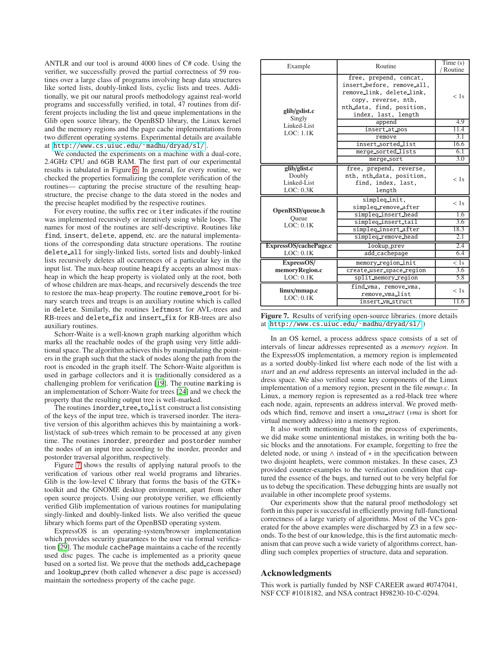ANTLR and our tool is around 4000 lines of C# code. Using the verifier, we successfully proved the partial correctness of 59 routines over a large class of programs involving heap data structures like sorted lists, doubly-linked lists, cyclic lists and trees. Additionally, we pit our natural proofs methodology against real-world programs and successfully verified, in total, 47 routines from different projects including the list and queue implementations in the Glib open source library, the OpenBSD library, the Linux kernel and the memory regions and the page cache implementations from two different operating systems. Experimental details are available at [http://www.cs.uiuc.edu/˜madhu/dryad/sl/](http://www.cs.uiuc.edu/~madhu/dryad/sl/) .

We conducted the experiments on a machine with a dual-core, 2.4GHz CPU and 6GB RAM. The first part of our experimental results is tabulated in Figure [6.](#page-9-0) In general, for every routine, we checked the properties formalizing the complete verification of the routines— capturing the precise structure of the resulting heapstructure, the precise change to the data stored in the nodes and the precise heaplet modified by the respective routines.

For every routine, the suffix rec or iter indicates if the routine was implemented recursively or iteratively using while loops. The names for most of the routines are self-descriptive. Routines like find, insert, delete, append, etc. are the natural implementations of the corresponding data structure operations. The routine delete all for singly-linked lists, sorted lists and doubly-linked lists recursively deletes all occurrences of a particular key in the input list. The max-heap routine heapify accepts an almost maxheap in which the heap property is violated only at the root, both of whose children are max-heaps, and recursively descends the tree to restore the max-heap property. The routine remove\_root for binary search trees and treaps is an auxiliary routine which is called in delete. Similarly, the routines leftmost for AVL-trees and RB-trees and delete\_fix and insert\_fix for RB-trees are also auxiliary routines.

Schorr-Waite is a well-known graph marking algorithm which marks all the reachable nodes of the graph using very little additional space. The algorithm achieves this by manipulating the pointers in the graph such that the stack of nodes along the path from the root is encoded in the graph itself. The Schorr-Waite algorithm is used in garbage collectors and it is traditionally considered as a challenging problem for verification [\[19](#page-11-41)]. The routine marking is an implementation of Schorr-Waite for trees [\[24](#page-11-42)] and we check the property that the resulting output tree is well-marked.

The routines inorder\_tree\_to\_list construct a list consisting of the keys of the input tree, which is traversed inorder. The iterative version of this algorithm achieves this by maintaining a worklist/stack of sub-trees which remain to be processed at any given time. The routines inorder, preorder and postorder number the nodes of an input tree according to the inorder, preorder and postorder traversal algorithm, respectively.

Figure [7](#page-10-0) shows the results of applying natural proofs to the verification of various other real world programs and libraries. Glib is the low-level C library that forms the basis of the GTK+ toolkit and the GNOME desktop environment, apart from other open source projects. Using our prototype verifier, we efficiently verified Glib implementation of various routines for manipulating singly-linked and doubly-linked lists. We also verified the queue library which forms part of the OpenBSD operating system.

ExpressOS is an operating-system/browser implementation which provides security guarantees to the user via formal verification [\[29\]](#page-11-4). The module cachePage maintains a cache of the recently used disc pages. The cache is implemented as a priority queue based on a sorted list. We prove that the methods add cachepage and lookup prev (both called whenever a disc page is accessed) maintain the sortedness property of the cache page.

| Example                                            | Routine                                                                                                                                                      | Time(s)          |
|----------------------------------------------------|--------------------------------------------------------------------------------------------------------------------------------------------------------------|------------------|
|                                                    |                                                                                                                                                              | Routine          |
| glib/gslist.c<br>Singly                            | free, prepend, concat,<br>insert before, remove all,<br>remove_link, delete_link,<br>copy, reverse, nth,<br>nth_data, find, position,<br>index, last, length | $<$ 1s           |
| Linked-List                                        | append                                                                                                                                                       | 4.9              |
| LOC: 1.1K                                          | insert_at_pos                                                                                                                                                | 11.4             |
|                                                    | remove                                                                                                                                                       | 3.1              |
|                                                    | insert_sorted_list                                                                                                                                           | 16.6             |
|                                                    | merge_sorted_lists                                                                                                                                           | 6.1              |
|                                                    | merge_sort                                                                                                                                                   | 3.0              |
| glib/glist.c<br>Doubly<br>Linked-List<br>LOC: 0.3K | free, prepend, reverse,<br>nth, nth_data, position,<br>find, index, last,<br>length                                                                          | < 1s             |
| OpenBSD/queue.h                                    | simpleq_init,<br>simpleg_remove_after                                                                                                                        | < 1s             |
| Oueue                                              | simpleg_insert_head                                                                                                                                          | 1.6              |
| LOC: 0.1K                                          | simpleq_insert_tail                                                                                                                                          | 3.6              |
|                                                    | simpleq_insert_after                                                                                                                                         | 18.3             |
|                                                    | simpleg_remove_head                                                                                                                                          | 2.1              |
| ExpressOS/cachePage.c                              | lookup_prev                                                                                                                                                  | 2.4              |
| LOC: 0.1K                                          | add_cachepage                                                                                                                                                | 6.4              |
| ExpressOS/                                         | memory_region_init                                                                                                                                           | $\overline{<}1s$ |
| memoryRegion.c                                     | create_user_space_region                                                                                                                                     | 3.6              |
| LOC: 0.1K                                          | split_memory_region                                                                                                                                          | 5.8              |
| linux/mmap.c<br>LOC: 0.1K                          | find_vma, remove_vma,<br>remove_vma_list                                                                                                                     | < 1s             |
|                                                    | insert_vm_struct                                                                                                                                             | 11.6             |

<span id="page-10-0"></span>Figure 7. Results of verifying open-source libraries. (more details at [http://www.cs.uiuc.edu/˜madhu/dryad/sl/](http://www.cs.uiuc.edu/~madhu/dryad/sl/) )

In an OS kernel, a process address space consists of a set of intervals of linear addresses represented as a *memory region*. In the ExpressOS implementation, a memory region is implemented as a sorted doubly-linked list where each node of the list with a *start* and an *end* address represents an interval included in the address space. We also verified some key components of the Linux implementation of a memory region, present in the file *mmap.c*. In Linux, a memory region is represented as a red-black tree where each node, again, represents an address interval. We proved methods which find, remove and insert a *vma struct* (*vma* is short for virtual memory address) into a memory region.

It also worth mentioning that in the process of experiments, we did make some unintentional mistakes, in writing both the basic blocks and the annotations. For example, forgetting to free the deleted node, or using ∧ instead of ∗ in the specification between two disjoint heaplets, were common mistakes. In these cases, Z3 provided counter-examples to the verification condition that captured the essence of the bugs, and turned out to be very helpful for us to debug the specification. These debugging hints are usually not available in other incomplete proof systems.

Our experiments show that the natural proof methodology set forth in this paper is successful in efficiently proving full-functional correctness of a large variety of algorithms. Most of the VCs generated for the above examples were discharged by Z3 in a few seconds. To the best of our knowledge, this is the first automatic mechanism that can prove such a wide variety of algorithms correct, handling such complex properties of structure, data and separation.

#### Acknowledgments

This work is partially funded by NSF CAREER award #0747041, NSF CCF #1018182, and NSA contract H98230-10-C-0294.